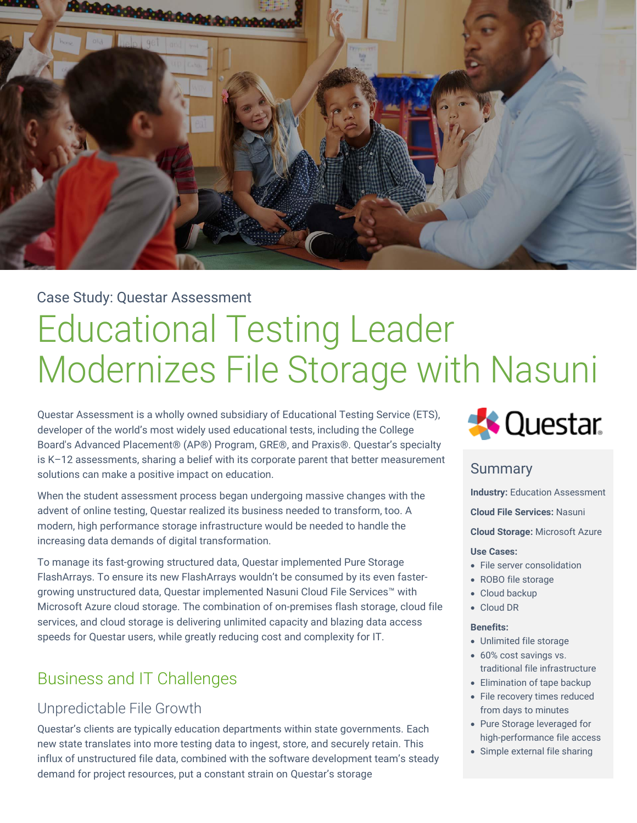

## Case Study: Questar Assessment

# Educational Testing Leader Modernizes File Storage with Nasuni

Questar Assessment is a wholly owned subsidiary of Educational Testing Service (ETS), developer of the world's most widely used educational tests, including the College Board's Advanced Placement® (AP®) Program, GRE®, and Praxis®. Questar's specialty is K–12 assessments, sharing a belief with its corporate parent that better measurement solutions can make a positive impact on education.

When the student assessment process began undergoing massive changes with the advent of online testing, Questar realized its business needed to transform, too. A modern, high performance storage infrastructure would be needed to handle the increasing data demands of digital transformation.

To manage its fast-growing structured data, Questar implemented Pure Storage FlashArrays. To ensure its new FlashArrays wouldn't be consumed by its even fastergrowing unstructured data, Questar implemented Nasuni Cloud File Services™ with Microsoft Azure cloud storage. The combination of on-premises flash storage, cloud file services, and cloud storage is delivering unlimited capacity and blazing data access speeds for Questar users, while greatly reducing cost and complexity for IT.

# Business and IT Challenges

## Unpredictable File Growth

Questar's clients are typically education departments within state governments. Each new state translates into more testing data to ingest, store, and securely retain. This influx of unstructured file data, combined with the software development team's steady demand for project resources, put a constant strain on Questar's storage



### **Summary**

**Industry: Education Assessment** 

**Cloud File Services:** Nasuni

**Cloud Storage:** Microsoft Azure

#### **Use Cases:**

- File server consolidation
- ROBO file storage
- Cloud backup
- Cloud DR

#### **Benefits:**

- Unlimited file storage
- 60% cost savings vs. traditional file infrastructure
- Elimination of tape backup
- File recovery times reduced from days to minutes
- Pure Storage leveraged for high-performance file access
- Simple external file sharing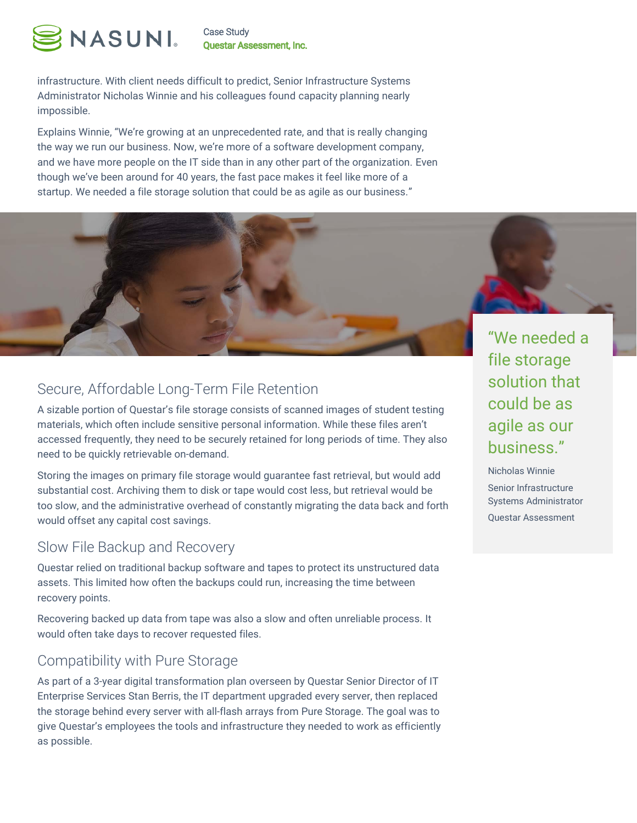

Case Study **Questar Assessment, Inc.** 

infrastructure. With client needs difficult to predict, Senior Infrastructure Systems Administrator Nicholas Winnie and his colleagues found capacity planning nearly impossible.

Explains Winnie, "We're growing at an unprecedented rate, and that is really changing the way we run our business. Now, we're more of a software development company, and we have more people on the IT side than in any other part of the organization. Even though we've been around for 40 years, the fast pace makes it feel like more of a startup. We needed a file storage solution that could be as agile as our business."

## Secure, Affordable Long-Term File Retention

A sizable portion of Questar's file storage consists of scanned images of student testing materials, which often include sensitive personal information. While these files aren't accessed frequently, they need to be securely retained for long periods of time. They also need to be quickly retrievable on-demand.

Storing the images on primary file storage would guarantee fast retrieval, but would add substantial cost. Archiving them to disk or tape would cost less, but retrieval would be too slow, and the administrative overhead of constantly migrating the data back and forth would offset any capital cost savings.

### Slow File Backup and Recovery

Questar relied on traditional backup software and tapes to protect its unstructured data assets. This limited how often the backups could run, increasing the time between recovery points.

Recovering backed up data from tape was also a slow and often unreliable process. It would often take days to recover requested files.

### Compatibility with Pure Storage

As part of a 3-year digital transformation plan overseen by Questar Senior Director of IT Enterprise Services Stan Berris, the IT department upgraded every server, then replaced the storage behind every server with all-flash arrays from Pure Storage. The goal was to give Questar's employees the tools and infrastructure they needed to work as efficiently as possible.

"We needed a file storage solution that could be as agile as our business."

Nicholas Winnie Senior Infrastructure Systems Administrator Questar Assessment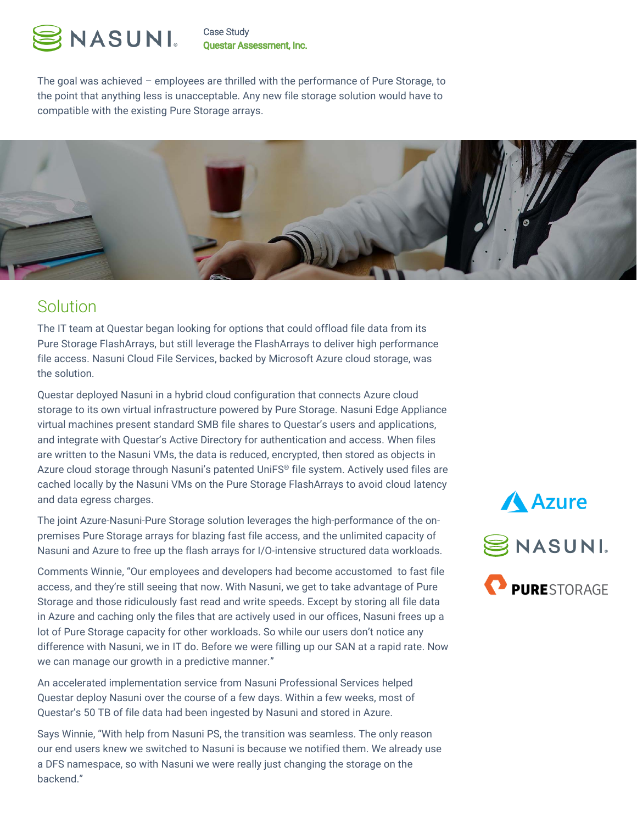

Case Study **Questar Assessment, Inc.** 

The goal was achieved – employees are thrilled with the performance of Pure Storage, to the point that anything less is unacceptable. Any new file storage solution would have to compatible with the existing Pure Storage arrays.



# Solution

The IT team at Questar began looking for options that could offload file data from its Pure Storage FlashArrays, but still leverage the FlashArrays to deliver high performance file access. Nasuni Cloud File Services, backed by Microsoft Azure cloud storage, was the solution.

Questar deployed Nasuni in a hybrid cloud configuration that connects Azure cloud storage to its own virtual infrastructure powered by Pure Storage. Nasuni Edge Appliance virtual machines present standard SMB file shares to Questar's users and applications, and integrate with Questar's Active Directory for authentication and access. When files are written to the Nasuni VMs, the data is reduced, encrypted, then stored as objects in Azure cloud storage through Nasuni's patented UniFS® file system. Actively used files are cached locally by the Nasuni VMs on the Pure Storage FlashArrays to avoid cloud latency and data egress charges.

The joint Azure-Nasuni-Pure Storage solution leverages the high-performance of the onpremises Pure Storage arrays for blazing fast file access, and the unlimited capacity of Nasuni and Azure to free up the flash arrays for I/O-intensive structured data workloads.

Comments Winnie, "Our employees and developers had become accustomed to fast file access, and they're still seeing that now. With Nasuni, we get to take advantage of Pure Storage and those ridiculously fast read and write speeds. Except by storing all file data in Azure and caching only the files that are actively used in our offices, Nasuni frees up a lot of Pure Storage capacity for other workloads. So while our users don't notice any difference with Nasuni, we in IT do. Before we were filling up our SAN at a rapid rate. Now we can manage our growth in a predictive manner."

An accelerated implementation service from Nasuni Professional Services helped Questar deploy Nasuni over the course of a few days. Within a few weeks, most of Questar's 50 TB of file data had been ingested by Nasuni and stored in Azure.

Says Winnie, "With help from Nasuni PS, the transition was seamless. The only reason our end users knew we switched to Nasuni is because we notified them. We already use a DFS namespace, so with Nasuni we were really just changing the storage on the backend."

**Azure** SNASUNI. **PURESTORAGE**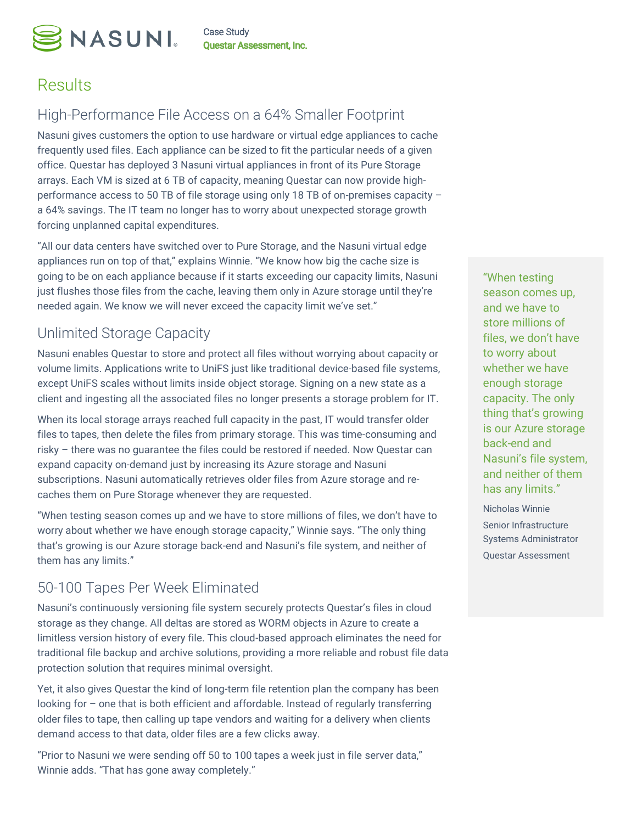

Case Study **Questar Assessment, Inc.** 

# **Results**

## High-Performance File Access on a 64% Smaller Footprint

Nasuni gives customers the option to use hardware or virtual edge appliances to cache frequently used files. Each appliance can be sized to fit the particular needs of a given office. Questar has deployed 3 Nasuni virtual appliances in front of its Pure Storage arrays. Each VM is sized at 6 TB of capacity, meaning Questar can now provide highperformance access to 50 TB of file storage using only 18 TB of on-premises capacity – a 64% savings. The IT team no longer has to worry about unexpected storage growth forcing unplanned capital expenditures.

"All our data centers have switched over to Pure Storage, and the Nasuni virtual edge appliances run on top of that," explains Winnie. "We know how big the cache size is going to be on each appliance because if it starts exceeding our capacity limits, Nasuni just flushes those files from the cache, leaving them only in Azure storage until they're needed again. We know we will never exceed the capacity limit we've set."

# Unlimited Storage Capacity

Nasuni enables Questar to store and protect all files without worrying about capacity or volume limits. Applications write to UniFS just like traditional device-based file systems, except UniFS scales without limits inside object storage. Signing on a new state as a client and ingesting all the associated files no longer presents a storage problem for IT.

When its local storage arrays reached full capacity in the past, IT would transfer older files to tapes, then delete the files from primary storage. This was time-consuming and risky – there was no guarantee the files could be restored if needed. Now Questar can expand capacity on-demand just by increasing its Azure storage and Nasuni subscriptions. Nasuni automatically retrieves older files from Azure storage and recaches them on Pure Storage whenever they are requested.

"When testing season comes up and we have to store millions of files, we don't have to worry about whether we have enough storage capacity," Winnie says. "The only thing that's growing is our Azure storage back-end and Nasuni's file system, and neither of them has any limits."

# 50-100 Tapes Per Week Eliminated

Nasuni's continuously versioning file system securely protects Questar's files in cloud storage as they change. All deltas are stored as WORM objects in Azure to create a limitless version history of every file. This cloud-based approach eliminates the need for traditional file backup and archive solutions, providing a more reliable and robust file data protection solution that requires minimal oversight.

Yet, it also gives Questar the kind of long-term file retention plan the company has been looking for – one that is both efficient and affordable. Instead of regularly transferring older files to tape, then calling up tape vendors and waiting for a delivery when clients demand access to that data, older files are a few clicks away.

"Prior to Nasuni we were sending off 50 to 100 tapes a week just in file server data," Winnie adds. "That has gone away completely."

"When testing season comes up, and we have to store millions of files, we don't have to worry about whether we have enough storage capacity. The only thing that's growing is our Azure storage back-end and Nasuni's file system, and neither of them has any limits."

Nicholas Winnie Senior Infrastructure Systems Administrator Questar Assessment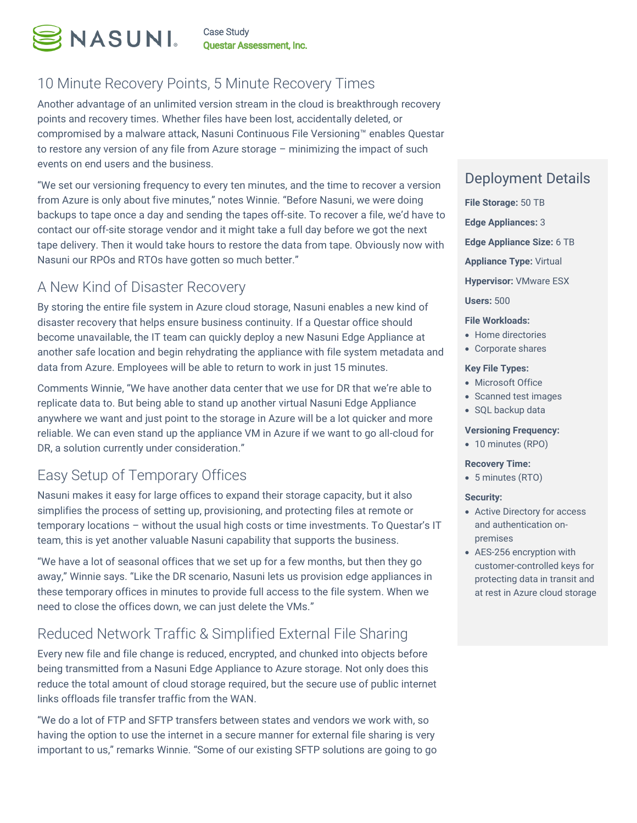

## 10 Minute Recovery Points, 5 Minute Recovery Times

Another advantage of an unlimited version stream in the cloud is breakthrough recovery points and recovery times. Whether files have been lost, accidentally deleted, or compromised by a malware attack, Nasuni Continuous File Versioning™ enables Questar to restore any version of any file from Azure storage – minimizing the impact of such events on end users and the business.

"We set our versioning frequency to every ten minutes, and the time to recover a version from Azure is only about five minutes," notes Winnie. "Before Nasuni, we were doing backups to tape once a day and sending the tapes off-site. To recover a file, we'd have to contact our off-site storage vendor and it might take a full day before we got the next tape delivery. Then it would take hours to restore the data from tape. Obviously now with Nasuni our RPOs and RTOs have gotten so much better."

## A New Kind of Disaster Recovery

By storing the entire file system in Azure cloud storage, Nasuni enables a new kind of disaster recovery that helps ensure business continuity. If a Questar office should become unavailable, the IT team can quickly deploy a new Nasuni Edge Appliance at another safe location and begin rehydrating the appliance with file system metadata and data from Azure. Employees will be able to return to work in just 15 minutes.

Comments Winnie, "We have another data center that we use for DR that we're able to replicate data to. But being able to stand up another virtual Nasuni Edge Appliance anywhere we want and just point to the storage in Azure will be a lot quicker and more reliable. We can even stand up the appliance VM in Azure if we want to go all-cloud for DR, a solution currently under consideration."

# Easy Setup of Temporary Offices

Nasuni makes it easy for large offices to expand their storage capacity, but it also simplifies the process of setting up, provisioning, and protecting files at remote or temporary locations – without the usual high costs or time investments. To Questar's IT team, this is yet another valuable Nasuni capability that supports the business.

"We have a lot of seasonal offices that we set up for a few months, but then they go away," Winnie says. "Like the DR scenario, Nasuni lets us provision edge appliances in these temporary offices in minutes to provide full access to the file system. When we need to close the offices down, we can just delete the VMs."

# Reduced Network Traffic & Simplified External File Sharing

Every new file and file change is reduced, encrypted, and chunked into objects before being transmitted from a Nasuni Edge Appliance to Azure storage. Not only does this reduce the total amount of cloud storage required, but the secure use of public internet links offloads file transfer traffic from the WAN.

"We do a lot of FTP and SFTP transfers between states and vendors we work with, so having the option to use the internet in a secure manner for external file sharing is very important to us," remarks Winnie. "Some of our existing SFTP solutions are going to go

### Deployment Details

- **File Storage:** 50 TB **Edge Appliances:** 3 **Edge Appliance Size:** 6 TB **Appliance Type:** Virtual **Hypervisor:** VMware ESX **Users:** 500 **File Workloads:**
- Home directories
- Corporate shares

#### **Key File Types:**

- Microsoft Office
- Scanned test images
- SQL backup data

#### **Versioning Frequency:**

• 10 minutes (RPO)

#### **Recovery Time:**

• 5 minutes (RTO)

#### **Security:**

- Active Directory for access and authentication onpremises
- AES-256 encryption with customer-controlled keys for protecting data in transit and at rest in Azure cloud storage